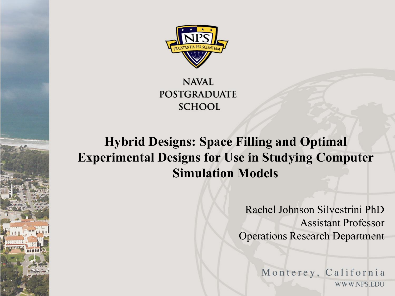

**NAVAL POSTGRADUATE SCHOOL** 

#### **Hybrid Designs: Space Filling and Optimal Experimental Designs for Use in Studying Computer Simulation Models**

Rachel Johnson Silvestrini PhD Assistant Professor Operations Research Department

> Monterey, California WWW.NPS.EDU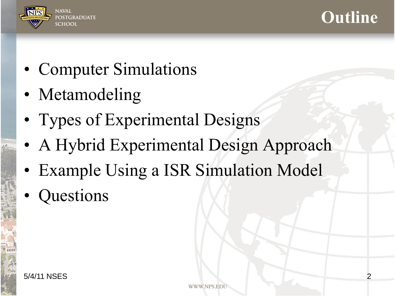



- Computer Simulations
- Metamodeling
- Types of Experimental Designs
- A Hybrid Experimental Design Approach
- Example Using a ISR Simulation Model
- Questions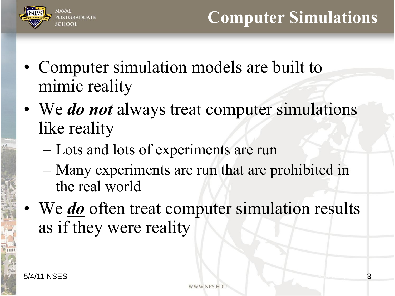

- Computer simulation models are built to mimic reality
- We *do not* always treat computer simulations like reality
	- Lots and lots of experiments are run
	- Many experiments are run that are prohibited in the real world
- We *do* often treat computer simulation results as if they were reality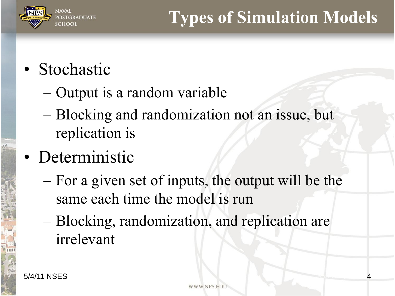

## • Stochastic

- Output is a random variable
- Blocking and randomization not an issue, but replication is
- Deterministic
	- For a given set of inputs, the output will be the same each time the model is run
	- Blocking, randomization, and replication are irrelevant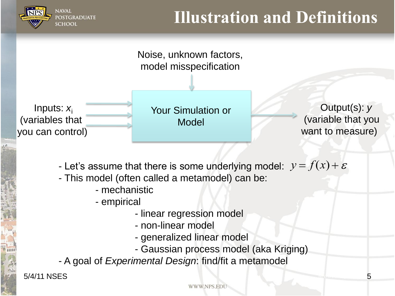

#### **Illustration and Definitions**



- This model (often called a metamodel) can be:
	- mechanistic
	- empirical
		- linear regression model
		- non-linear model
		- generalized linear model
		- Gaussian process model (aka Kriging)
- A goal of *Experimental Design*: find/fit a metamodel

5/4/11 NSES 5

WWW.NPS.ED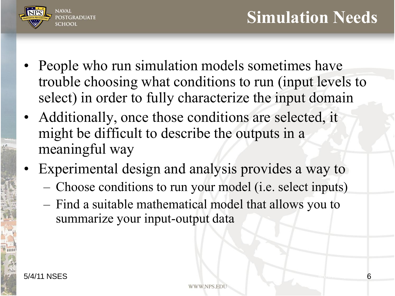



- People who run simulation models sometimes have trouble choosing what conditions to run (input levels to select) in order to fully characterize the input domain
- Additionally, once those conditions are selected, it might be difficult to describe the outputs in a meaningful way
- Experimental design and analysis provides a way to
	- Choose conditions to run your model (i.e. select inputs)
	- Find a suitable mathematical model that allows you to summarize your input-output data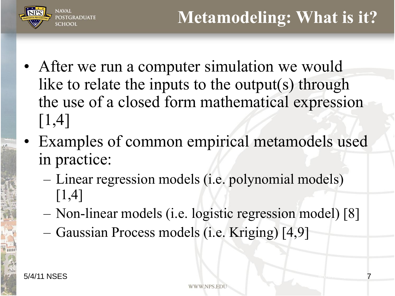

- After we run a computer simulation we would like to relate the inputs to the output(s) through the use of a closed form mathematical expression [1,4]
- Examples of common empirical metamodels used in practice:
	- Linear regression models (i.e. polynomial models) [1,4]
	- Non-linear models (i.e. logistic regression model) [8]
	- Gaussian Process models (i.e. Kriging) [4,9]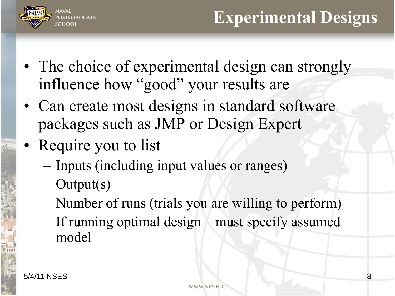

- The choice of experimental design can strongly influence how "good" your results are
- Can create most designs in standard software packages such as JMP or Design Expert
- Require you to list
	- Inputs (including input values or ranges)
	- Output(s)
	- Number of runs (trials you are willing to perform)
	- If running optimal design must specify assumed model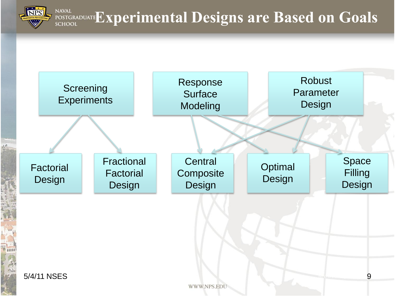**EXPERADUATE EXPERIMENTAL Designs are Based on Goals NAVAL** 

**NIPS** 

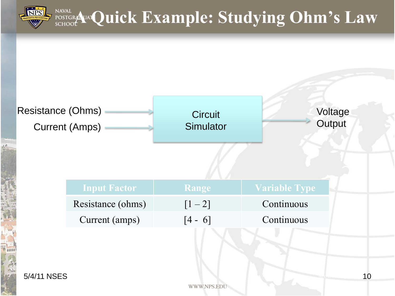

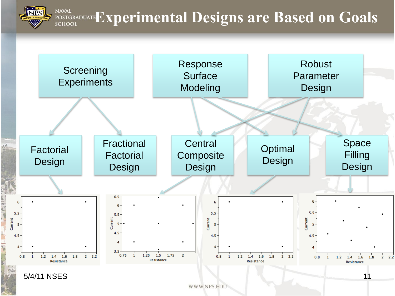**NAVAL EXPERIMAL POSTGRADUATE EXPERIMENTAL Designs are Based on Goals SCHOOL** 

**NPS** 

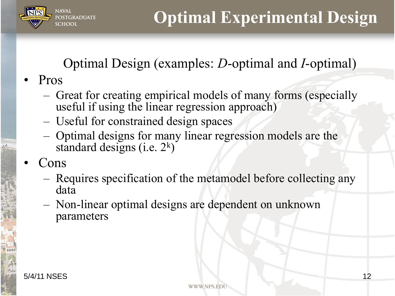

#### Optimal Design (examples: *D*-optimal and *I*-optimal)

- Pros
	- Great for creating empirical models of many forms (especially useful if using the linear regression approach)
	- Useful for constrained design spaces
	- Optimal designs for many linear regression models are the standard designs (i.e.  $2^k$ )
- Cons
	- Requires specification of the metamodel before collecting any data
	- Non-linear optimal designs are dependent on unknown parameters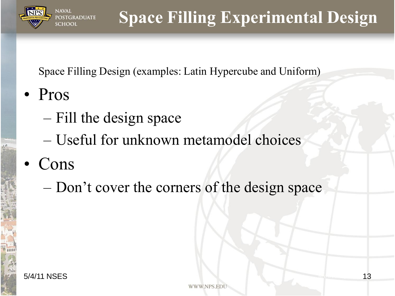

## **Space Filling Experimental Design**

Space Filling Design (examples: Latin Hypercube and Uniform)

- Pros
	- Fill the design space
	- Useful for unknown metamodel choices
- Cons
	- Don't cover the corners of the design space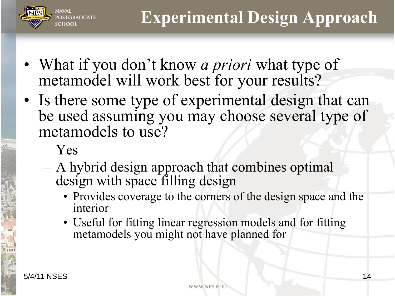

- What if you don't know *a priori* what type of metamodel will work best for your results?
- Is there some type of experimental design that can be used assuming you may choose several type of metamodels to use?
	- Yes
	- A hybrid design approach that combines optimal design with space filling design
		- Provides coverage to the corners of the design space and the interior
		- Useful for fitting linear regression models and for fitting metamodels you might not have planned for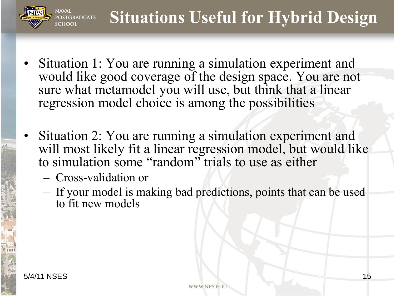

- Situation 1: You are running a simulation experiment and would like good coverage of the design space. You are not sure what metamodel you will use, but think that a linear regression model choice is among the possibilities
- Situation 2: You are running a simulation experiment and will most likely fit a linear regression model, but would like to simulation some "random" trials to use as either
	- Cross-validation or
	- If your model is making bad predictions, points that can be used to fit new models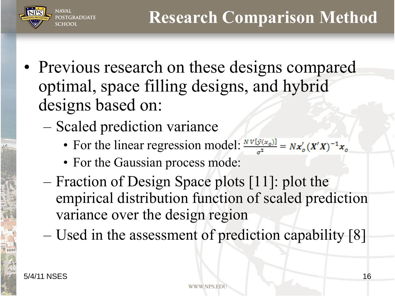

- Previous research on these designs compared optimal, space filling designs, and hybrid designs based on:
	- Scaled prediction variance
		- For the linear regression model:  $\frac{N V[\hat{y}(x_0)]}{r^2} = N x_0'(X'X)^{-1}x_0$
		- For the Gaussian process mode:
	- Fraction of Design Space plots [11]: plot the empirical distribution function of scaled prediction variance over the design region
	- Used in the assessment of prediction capability [8]

**JAVAI** 

GRADUATE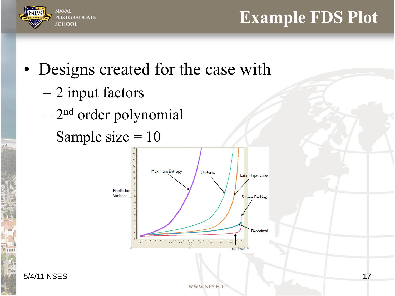

#### **Example FDS Plot**

## • Designs created for the case with

- 2 input factors
- 2<sup>nd</sup> order polynomial
- $-$  Sample size  $= 10$



5/4/11 NSES 17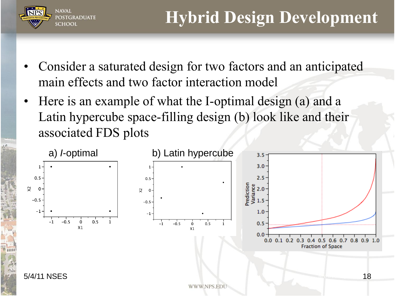

- Consider a saturated design for two factors and an anticipated main effects and two factor interaction model
- Here is an example of what the I-optimal design (a) and a Latin hypercube space-filling design (b) look like and their associated FDS plots

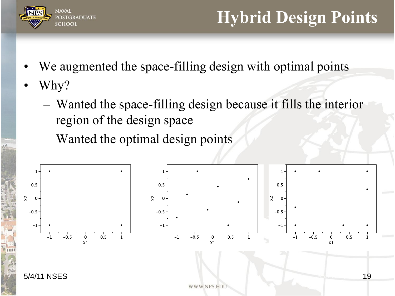![](_page_18_Picture_0.jpeg)

### **Hybrid Design Points**

- We augmented the space-filling design with optimal points
- Why?
	- Wanted the space-filling design because it fills the interior region of the design space
	- Wanted the optimal design points

![](_page_18_Figure_6.jpeg)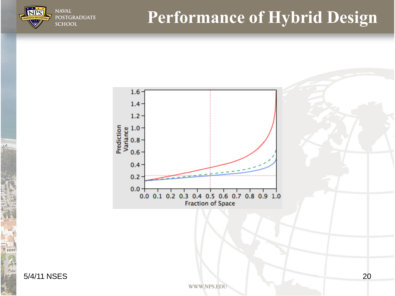![](_page_19_Picture_0.jpeg)

![](_page_19_Figure_1.jpeg)

5/4/11 NSES 20

**NAVAL** 

**SCHOOL** 

**POSTGRADUATE**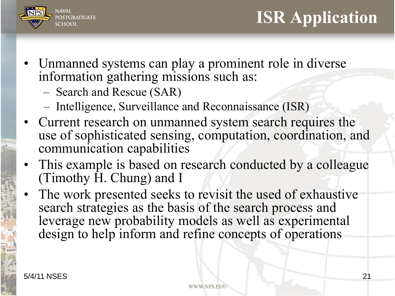![](_page_20_Picture_0.jpeg)

- Unmanned systems can play a prominent role in diverse information gathering missions such as:
	- Search and Rescue (SAR)
	- Intelligence, Surveillance and Reconnaissance (ISR)
- Current research on unmanned system search requires the use of sophisticated sensing, computation, coordination, and communication capabilities
- This example is based on research conducted by a colleague (Timothy H. Chung) and I
	- The work presented seeks to revisit the used of exhaustive search strategies as the basis of the search process and leverage new probability models as well as experimental design to help inform and refine concepts of operations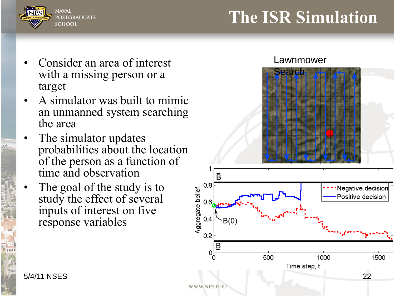![](_page_21_Picture_0.jpeg)

#### **The ISR Simulation**

- Consider an area of interest with a missing person or a target
- A simulator was built to mimic an unmanned system searching the area
- The simulator updates probabilities about the location of the person as a function of time and observation
- The goal of the study is to study the effect of several inputs of interest on five response variables

![](_page_21_Figure_6.jpeg)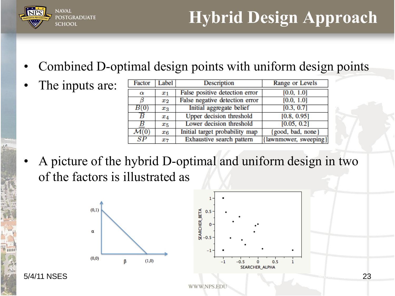![](_page_22_Picture_0.jpeg)

# **Hybrid Design Approach**

- Combined D-optimal design points with uniform design points
- The inputs are:
- **Description** Range or Levels Factor Label False positive detection error  $[0.0, 1.0]$  $\overline{x_1}$  $\alpha$ False negative detection error ß  $[0.0, 1.0]$  $x_2$  $B(0)$ Initial aggregate belief  $[0.3, 0.7]$  $x_3$ Upper decision threshold  $[0.8, 0.95]$ В  $x_4$ Lower decision threshold  $[0.05, 0.2]$ В  $x_{5}$  $\mathcal{M}(0)$ Initial target probability map good, bad, none  $x_{6}$  $\overline{SP}$ Exhaustive search pattern [lawnmower, sweeping]  $x_7$
- A picture of the hybrid D-optimal and uniform design in two of the factors is illustrated as

![](_page_22_Figure_6.jpeg)

![](_page_22_Figure_7.jpeg)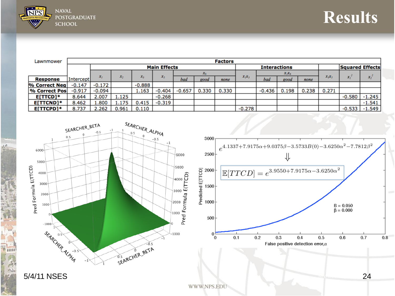![](_page_23_Picture_0.jpeg)

 $\frac{1}{2}$ 

| <b>Results</b> |
|----------------|
|                |

| Lawnmower       | <b>Factors</b> |                     |       |          |          |          |         |       |          |                     |       |       |          |          |                 |
|-----------------|----------------|---------------------|-------|----------|----------|----------|---------|-------|----------|---------------------|-------|-------|----------|----------|-----------------|
|                 |                | <b>Main Effects</b> |       |          |          |          |         |       |          | <b>Interactions</b> |       |       |          |          | Squared Effects |
|                 |                |                     |       |          |          |          | $x_{6}$ |       |          | $X_1X_6$            |       |       |          |          |                 |
| <b>Response</b> | Intercept      | х,                  | x,    | $x_i$    | $x_{5}$  | bad      | good    | none  | $x_1x_3$ | bad                 | good  | none  | $x_1x_3$ | $x_{i}$  | $x_{\sigma}$    |
| % Correct Neg   | $-0.147$       | $-0.172$            |       | $-0.888$ |          |          |         |       |          |                     |       |       |          |          |                 |
| % Correct Pos   | $-0.917$       | $-0.094$            |       | 1.163    | $-0.404$ | $-0.657$ | 0.330   | 0.330 |          | $-0.436$            | 0.198 | 0.238 | 0.271    |          |                 |
| E[TTCD]*        | 8.644          | 2.007               | 1.125 |          | $-0.268$ |          |         |       |          |                     |       |       |          | $-0.580$ | $-1.245$        |
| E[TTCND]*       | 8.462          | .800                | 1.175 | 0.415    | $-0.319$ |          |         |       |          |                     |       |       |          |          | $-1.541$        |
| E[TTCPD]*       | 8.737          | 2.262               | 0.961 | 0.110    |          |          |         |       | $-0.278$ |                     |       |       |          | $-0.533$ | $-1.549$        |

![](_page_23_Figure_3.jpeg)